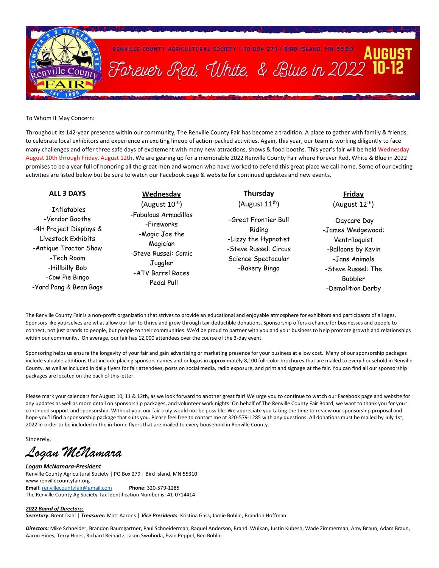

To Whom It May Concern:

Throughout its 142-year presence within our community, The Renville County Fair has become a tradition. A place to gather with family & friends, to celebrate local exhibitors and experience an exciting lineup of action-packed activities. Again, this year, our team is working diligently to face many challenges and offer three safe days of excitement with many new attractions, shows & food booths. This year's fair will be held Wednesday August 10th through Friday, August 12th. We are gearing up for a memorable 2022 Renville County Fair where Forever Red, White & Blue in 2022 promises to be a year full of honoring all the great men and women who have worked to defend this great place we call home. Some of our exciting activities are listed below but be sure to watch our Facebook page & website for continued updates and new events.

#### **ALL 3 DAYS**

-Inflatables -Vendor Booths -4H Project Displays & Livestock Exhibits -Antique Tractor Show -Tech Room -Hillbilly Bob -Cow Pie Bingo -Yard Pong & Bean Bags

## **Wednesday**

(August  $10^{th}$ ) -Fabulous Armadillos -Fireworks -Magic Joe the Magician -Steve Russel: Comic **Juggler** -ATV Barrel Races - Pedal Pull

### **Thursday**  (August  $11^{th}$ )

-Great Frontier Bull Riding -Lizzy the Hypnotist -Steve Russel: Circus Science Spectacular -Bakery Bingo

## **Friday**  (August  $12^{th}$ )

-Daycare Day -James Wedgewood: Ventriloquist -Balloons by Kevin -Jans Animals -Steve Russel: The Bubbler -Demolition Derby

The Renville County Fair is a non-profit organization that strives to provide an educational and enjoyable atmosphere for exhibitors and participants of all ages. Sponsors like yourselves are what allow our fair to thrive and grow through tax-deductible donations. Sponsorship offers a chance for businesses and people to connect, not just brands to people, but people to their communities. We'd be proud to partner with you and your business to help promote growth and relationships within our community. On average, our fair has 12,000 attendees over the course of the 3-day event.

Sponsoring helps us ensure the longevity of your fair and gain advertising or marketing presence for your business at a low cost. Many of our sponsorship packages include valuable additions that include placing sponsors names and or logos in approximately 8,100 full-color brochures that are mailed to every household in Renville County, as well as included in daily flyers for fair attendees, posts on social media, radio exposure, and print and signage at the fair. You can find all our sponsorship packages are located on the back of this letter.

Please mark your calendars for August 10, 11 & 12th, as we look forward to another great fair! We urge you to continue to watch our Facebook page and website for any updates as well as more detail on sponsorship packages, and volunteer work nights. On behalf of The Renville County Fair Board, we want to thank you for your continued support and sponsorship. Without you, our fair truly would not be possible. We appreciate you taking the time to review our sponsorship proposal and hope you'll find a sponsorship package that suits you. Please feel free to contact me at 320-579-1285 with any questions. All donations must be mailed by July 1st, 2022 in order to be included in the in-home flyers that are mailed to every household in Renville County.

Sincerely,

*Logan McNamara* 

*Logan McNamara-President* Renville County Agricultural Society | PO Box 279 | Bird Island, MN 55310 www.renvillecountyfair.org **Email**[: renvillecountyfair@gmail.com](mailto:renvillecountyfair@gmail.com) **Phone**: 320-579-1285 The Renville County Ag Society Tax Identification Number is: 41-0714414

#### *2022 Board of Directors:*

*Secretary***:** Brent Dahl | *Treasurer:* Matt Aarons | *Vice Presidents:* Kristina Gass, Jamie Bohlin, Brandon Hoffman

*Directors:* Mike Schneider, Brandon Baumgartner, Paul Schneiderman, Raquel Anderson, Brandi Wulkan, Justin Kubesh, Wade Zimmerman, Amy Braun, Adam Braun, Aaron Hines, Terry Hines, Richard Reinartz, Jason Swoboda, Evan Peppel, Ben Bohlin